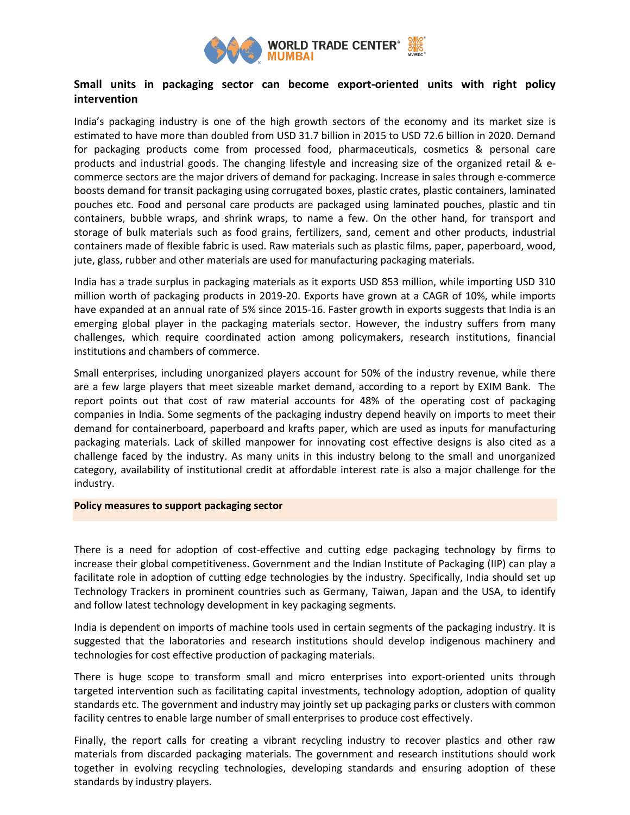

# **Small units in packaging sector can become export-oriented units with right policy intervention**

India's packaging industry is one of the high growth sectors of the economy and its market size is estimated to have more than doubled from USD 31.7 billion in 2015 to USD 72.6 billion in 2020. Demand for packaging products come from processed food, pharmaceuticals, cosmetics & personal care products and industrial goods. The changing lifestyle and increasing size of the organized retail & ecommerce sectors are the major drivers of demand for packaging. Increase in sales through e-commerce boosts demand for transit packaging using corrugated boxes, plastic crates, plastic containers, laminated pouches etc. Food and personal care products are packaged using laminated pouches, plastic and tin containers, bubble wraps, and shrink wraps, to name a few. On the other hand, for transport and storage of bulk materials such as food grains, fertilizers, sand, cement and other products, industrial containers made of flexible fabric is used. Raw materials such as plastic films, paper, paperboard, wood, jute, glass, rubber and other materials are used for manufacturing packaging materials.

India has a trade surplus in packaging materials as it exports USD 853 million, while importing USD 310 million worth of packaging products in 2019-20. Exports have grown at a CAGR of 10%, while imports have expanded at an annual rate of 5% since 2015-16. Faster growth in exports suggests that India is an emerging global player in the packaging materials sector. However, the industry suffers from many challenges, which require coordinated action among policymakers, research institutions, financial institutions and chambers of commerce.

Small enterprises, including unorganized players account for 50% of the industry revenue, while there are a few large players that meet sizeable market demand, according to a report by EXIM Bank. The report points out that cost of raw material accounts for 48% of the operating cost of packaging companies in India. Some segments of the packaging industry depend heavily on imports to meet their demand for containerboard, paperboard and krafts paper, which are used as inputs for manufacturing packaging materials. Lack of skilled manpower for innovating cost effective designs is also cited as a challenge faced by the industry. As many units in this industry belong to the small and unorganized category, availability of institutional credit at affordable interest rate is also a major challenge for the industry.

#### **Policy measures to support packaging sector**

There is a need for adoption of cost-effective and cutting edge packaging technology by firms to increase their global competitiveness. Government and the Indian Institute of Packaging (IIP) can play a facilitate role in adoption of cutting edge technologies by the industry. Specifically, India should set up Technology Trackers in prominent countries such as Germany, Taiwan, Japan and the USA, to identify and follow latest technology development in key packaging segments.

India is dependent on imports of machine tools used in certain segments of the packaging industry. It is suggested that the laboratories and research institutions should develop indigenous machinery and technologies for cost effective production of packaging materials.

There is huge scope to transform small and micro enterprises into export-oriented units through targeted intervention such as facilitating capital investments, technology adoption, adoption of quality standards etc. The government and industry may jointly set up packaging parks or clusters with common facility centres to enable large number of small enterprises to produce cost effectively.

Finally, the report calls for creating a vibrant recycling industry to recover plastics and other raw materials from discarded packaging materials. The government and research institutions should work together in evolving recycling technologies, developing standards and ensuring adoption of these standards by industry players.